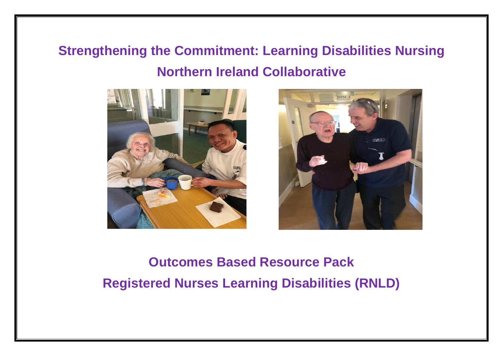## **Strengthening the Commitment: Learning Disabilities Nursing Northern Ireland Collaborative**





# **Outcomes Based Resource Pack Registered Nurses Learning Disabilities (RNLD)**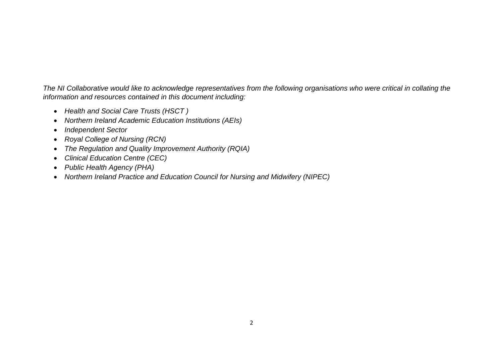*The NI Collaborative would like to acknowledge representatives from the following organisations who were critical in collating the information and resources contained in this document including:*

- *Health and Social Care Trusts (HSCT )*
- *Northern Ireland Academic Education Institutions (AEIs)*
- *Independent Sector*
- *Royal College of Nursing (RCN)*
- *The Regulation and Quality Improvement Authority (RQIA)*
- *Clinical Education Centre (CEC)*
- *Public Health Agency (PHA)*
- *Northern Ireland Practice and Education Council for Nursing and Midwifery (NIPEC)*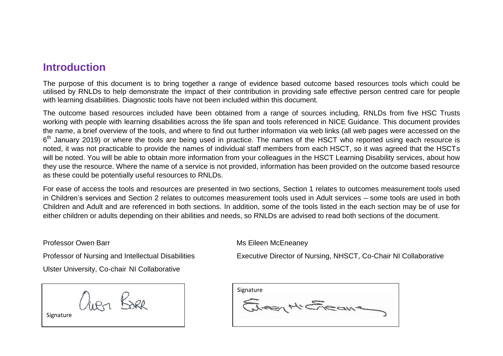### **Introduction**

The purpose of this document is to bring together a range of evidence based outcome based resources tools which could be utilised by RNLDs to help demonstrate the impact of their contribution in providing safe effective person centred care for people with learning disabilities. Diagnostic tools have not been included within this document.

The outcome based resources included have been obtained from a range of sources including, RNLDs from five HSC Trusts working with people with learning disabilities across the life span and tools referenced in NICE Guidance. This document provides the name, a brief overview of the tools, and where to find out further information via web links (all web pages were accessed on the 6<sup>th</sup> January 2019) or where the tools are being used in practice. The names of the HSCT who reported using each resource is noted, it was not practicable to provide the names of individual staff members from each HSCT, so it was agreed that the HSCTs will be noted. You will be able to obtain more information from your colleagues in the HSCT Learning Disability services, about how they use the resource. Where the name of a service is not provided, information has been provided on the outcome based resource as these could be potentially useful resources to RNLDs.

For ease of access the tools and resources are presented in two sections, Section 1 relates to outcomes measurement tools used in Children's services and Section 2 relates to outcomes measurement tools used in Adult services – some tools are used in both Children and Adult and are referenced in both sections. In addition, some of the tools listed in the each section may be of use for either children or adults depending on their abilities and needs, so RNLDs are advised to read both sections of the document.

Professor Owen Barr Music Communication of the McEneaney Music Eileen McEneaney

Professor of Nursing and Intellectual Disabilities Executive Director of Nursing, NHSCT, Co-Chair NI Collaborative

Ulster University, Co-chair NI Collaborative

JIRA BAR

**Signature** 

 $\overline{a}$ 

| Signature |  |
|-----------|--|
|           |  |
|           |  |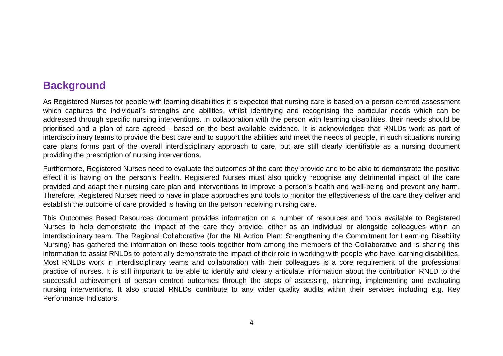### **Background**

As Registered Nurses for people with learning disabilities it is expected that nursing care is based on a person-centred assessment which captures the individual's strengths and abilities, whilst identifying and recognising the particular needs which can be addressed through specific nursing interventions. In collaboration with the person with learning disabilities, their needs should be prioritised and a plan of care agreed - based on the best available evidence. It is acknowledged that RNLDs work as part of interdisciplinary teams to provide the best care and to support the abilities and meet the needs of people, in such situations nursing care plans forms part of the overall interdisciplinary approach to care, but are still clearly identifiable as a nursing document providing the prescription of nursing interventions.

Furthermore, Registered Nurses need to evaluate the outcomes of the care they provide and to be able to demonstrate the positive effect it is having on the person's health. Registered Nurses must also quickly recognise any detrimental impact of the care provided and adapt their nursing care plan and interventions to improve a person's health and well-being and prevent any harm. Therefore, Registered Nurses need to have in place approaches and tools to monitor the effectiveness of the care they deliver and establish the outcome of care provided is having on the person receiving nursing care.

This Outcomes Based Resources document provides information on a number of resources and tools available to Registered Nurses to help demonstrate the impact of the care they provide, either as an individual or alongside colleagues within an interdisciplinary team. The Regional Collaborative (for the NI Action Plan: Strengthening the Commitment for Learning Disability Nursing) has gathered the information on these tools together from among the members of the Collaborative and is sharing this information to assist RNLDs to potentially demonstrate the impact of their role in working with people who have learning disabilities. Most RNLDs work in interdisciplinary teams and collaboration with their colleagues is a core requirement of the professional practice of nurses. It is still important to be able to identify and clearly articulate information about the contribution RNLD to the successful achievement of person centred outcomes through the steps of assessing, planning, implementing and evaluating nursing interventions. It also crucial RNLDs contribute to any wider quality audits within their services including e.g. Key Performance Indicators.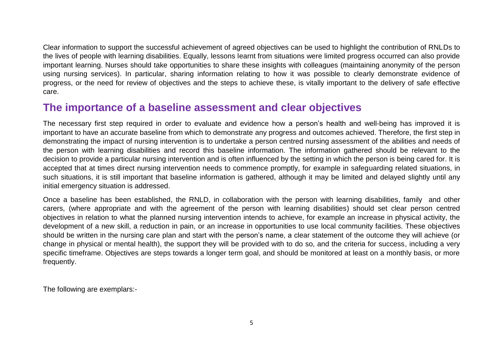Clear information to support the successful achievement of agreed objectives can be used to highlight the contribution of RNLDs to the lives of people with learning disabilities. Equally, lessons learnt from situations were limited progress occurred can also provide important learning. Nurses should take opportunities to share these insights with colleagues (maintaining anonymity of the person using nursing services). In particular, sharing information relating to how it was possible to clearly demonstrate evidence of progress, or the need for review of objectives and the steps to achieve these, is vitally important to the delivery of safe effective care.

### **The importance of a baseline assessment and clear objectives**

The necessary first step required in order to evaluate and evidence how a person's health and well-being has improved it is important to have an accurate baseline from which to demonstrate any progress and outcomes achieved. Therefore, the first step in demonstrating the impact of nursing intervention is to undertake a person centred nursing assessment of the abilities and needs of the person with learning disabilities and record this baseline information. The information gathered should be relevant to the decision to provide a particular nursing intervention and is often influenced by the setting in which the person is being cared for. It is accepted that at times direct nursing intervention needs to commence promptly, for example in safeguarding related situations, in such situations, it is still important that baseline information is gathered, although it may be limited and delayed slightly until any initial emergency situation is addressed.

Once a baseline has been established, the RNLD, in collaboration with the person with learning disabilities, family and other carers, (where appropriate and with the agreement of the person with learning disabilities) should set clear person centred objectives in relation to what the planned nursing intervention intends to achieve, for example an increase in physical activity, the development of a new skill, a reduction in pain, or an increase in opportunities to use local community facilities. These objectives should be written in the nursing care plan and start with the person's name, a clear statement of the outcome they will achieve (or change in physical or mental health), the support they will be provided with to do so, and the criteria for success, including a very specific timeframe. Objectives are steps towards a longer term goal, and should be monitored at least on a monthly basis, or more frequently.

The following are exemplars:-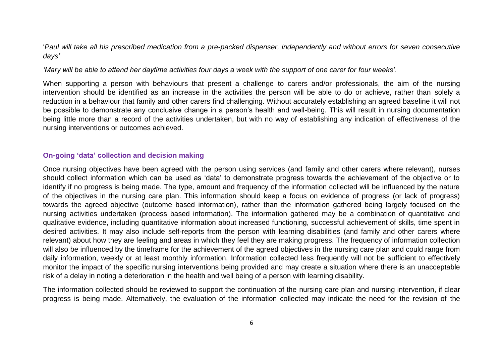'*Paul will take all his prescribed medication from a pre-packed dispenser, independently and without errors for seven consecutive days'* 

*'Mary will be able to attend her daytime activities four days a week with the support of one carer for four weeks'.* 

When supporting a person with behaviours that present a challenge to carers and/or professionals, the aim of the nursing intervention should be identified as an increase in the activities the person will be able to do or achieve, rather than solely a reduction in a behaviour that family and other carers find challenging. Without accurately establishing an agreed baseline it will not be possible to demonstrate any conclusive change in a person's health and well-being. This will result in nursing documentation being little more than a record of the activities undertaken, but with no way of establishing any indication of effectiveness of the nursing interventions or outcomes achieved.

#### **On-going 'data' collection and decision making**

Once nursing objectives have been agreed with the person using services (and family and other carers where relevant), nurses should collect information which can be used as 'data' to demonstrate progress towards the achievement of the objective or to identify if no progress is being made. The type, amount and frequency of the information collected will be influenced by the nature of the objectives in the nursing care plan. This information should keep a focus on evidence of progress (or lack of progress) towards the agreed objective (outcome based information), rather than the information gathered being largely focused on the nursing activities undertaken (process based information). The information gathered may be a combination of quantitative and qualitative evidence, including quantitative information about increased functioning, successful achievement of skills, time spent in desired activities. It may also include self-reports from the person with learning disabilities (and family and other carers where relevant) about how they are feeling and areas in which they feel they are making progress. The frequency of information collection will also be influenced by the timeframe for the achievement of the agreed objectives in the nursing care plan and could range from daily information, weekly or at least monthly information. Information collected less frequently will not be sufficient to effectively monitor the impact of the specific nursing interventions being provided and may create a situation where there is an unacceptable risk of a delay in noting a deterioration in the health and well being of a person with learning disability.

The information collected should be reviewed to support the continuation of the nursing care plan and nursing intervention, if clear progress is being made. Alternatively, the evaluation of the information collected may indicate the need for the revision of the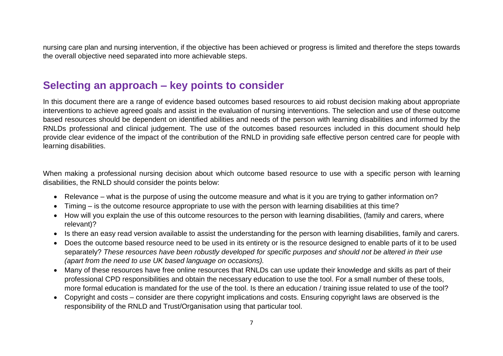nursing care plan and nursing intervention, if the objective has been achieved or progress is limited and therefore the steps towards the overall objective need separated into more achievable steps.

### **Selecting an approach – key points to consider**

In this document there are a range of evidence based outcomes based resources to aid robust decision making about appropriate interventions to achieve agreed goals and assist in the evaluation of nursing interventions. The selection and use of these outcome based resources should be dependent on identified abilities and needs of the person with learning disabilities and informed by the RNLDs professional and clinical judgement. The use of the outcomes based resources included in this document should help provide clear evidence of the impact of the contribution of the RNLD in providing safe effective person centred care for people with learning disabilities.

When making a professional nursing decision about which outcome based resource to use with a specific person with learning disabilities, the RNLD should consider the points below:

- Relevance what is the purpose of using the outcome measure and what is it you are trying to gather information on?
- Timing is the outcome resource appropriate to use with the person with learning disabilities at this time?
- How will you explain the use of this outcome resources to the person with learning disabilities, (family and carers, where relevant)?
- Is there an easy read version available to assist the understanding for the person with learning disabilities, family and carers.
- Does the outcome based resource need to be used in its entirety or is the resource designed to enable parts of it to be used separately? *These resources have been robustly developed for specific purposes and should not be altered in their use (apart from the need to use UK based language on occasions).*
- Many of these resources have free online resources that RNLDs can use update their knowledge and skills as part of their professional CPD responsibilities and obtain the necessary education to use the tool. For a small number of these tools, more formal education is mandated for the use of the tool. Is there an education / training issue related to use of the tool?
- Copyright and costs consider are there copyright implications and costs. Ensuring copyright laws are observed is the responsibility of the RNLD and Trust/Organisation using that particular tool.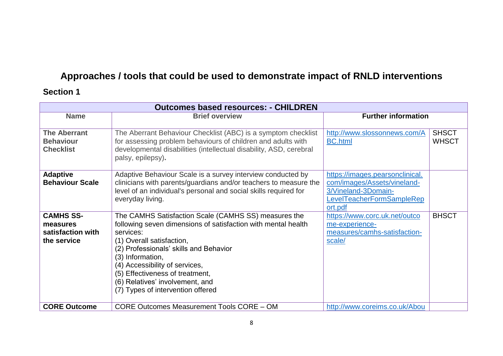### **Approaches / tools that could be used to demonstrate impact of RNLD interventions**

### **Section 1**

| <b>Outcomes based resources: - CHILDREN</b>                      |                                                                                                                                                                                                                                                                                                                                                                            |                                                                                                                               |                              |  |
|------------------------------------------------------------------|----------------------------------------------------------------------------------------------------------------------------------------------------------------------------------------------------------------------------------------------------------------------------------------------------------------------------------------------------------------------------|-------------------------------------------------------------------------------------------------------------------------------|------------------------------|--|
| <b>Name</b><br><b>Brief overview</b>                             |                                                                                                                                                                                                                                                                                                                                                                            | <b>Further information</b>                                                                                                    |                              |  |
| <b>The Aberrant</b><br><b>Behaviour</b><br><b>Checklist</b>      | The Aberrant Behaviour Checklist (ABC) is a symptom checklist<br>for assessing problem behaviours of children and adults with<br>developmental disabilities (intellectual disability, ASD, cerebral<br>palsy, epilepsy).                                                                                                                                                   | http://www.slossonnews.com/A<br><b>BC.html</b>                                                                                | <b>SHSCT</b><br><b>WHSCT</b> |  |
| <b>Adaptive</b><br><b>Behaviour Scale</b>                        | Adaptive Behaviour Scale is a survey interview conducted by<br>clinicians with parents/guardians and/or teachers to measure the<br>level of an individual's personal and social skills required for<br>everyday living.                                                                                                                                                    | https://images.pearsonclinical.<br>com/images/Assets/vineland-<br>3/Vineland-3Domain-<br>LevelTeacherFormSampleRep<br>ort.pdf |                              |  |
| <b>CAMHS SS-</b><br>measures<br>satisfaction with<br>the service | The CAMHS Satisfaction Scale (CAMHS SS) measures the<br>following seven dimensions of satisfaction with mental health<br>services:<br>(1) Overall satisfaction,<br>(2) Professionals' skills and Behavior<br>(3) Information,<br>(4) Accessibility of services,<br>(5) Effectiveness of treatment,<br>(6) Relatives' involvement, and<br>(7) Types of intervention offered | https://www.corc.uk.net/outco<br>me-experience-<br>measures/camhs-satisfaction-<br>scale/                                     | <b>BHSCT</b>                 |  |
| <b>CORE Outcome</b>                                              | <b>CORE Outcomes Measurement Tools CORE - OM</b>                                                                                                                                                                                                                                                                                                                           | http://www.coreims.co.uk/Abou                                                                                                 |                              |  |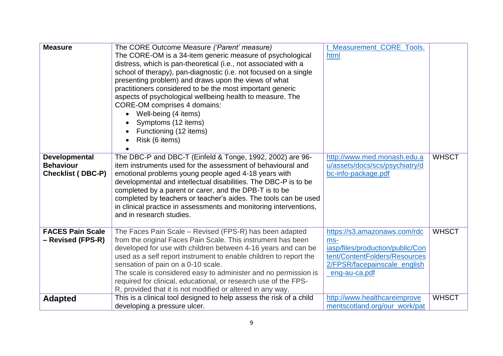| <b>Measure</b>                                                       | The CORE Outcome Measure ('Parent' measure)<br>The CORE-OM is a 34-item generic measure of psychological<br>distress, which is pan-theoretical (i.e., not associated with a<br>school of therapy), pan-diagnostic (i.e. not focused on a single<br>presenting problem) and draws upon the views of what<br>practitioners considered to be the most important generic<br>aspects of psychological wellbeing health to measure. The<br><b>CORE-OM comprises 4 domains:</b><br>Well-being (4 items)<br>Symptoms (12 items)<br>Functioning (12 items)<br>Risk (6 items) | t_Measurement_CORE_Tools.<br>html                                                                                                                          |              |
|----------------------------------------------------------------------|---------------------------------------------------------------------------------------------------------------------------------------------------------------------------------------------------------------------------------------------------------------------------------------------------------------------------------------------------------------------------------------------------------------------------------------------------------------------------------------------------------------------------------------------------------------------|------------------------------------------------------------------------------------------------------------------------------------------------------------|--------------|
| <b>Developmental</b><br><b>Behaviour</b><br><b>Checklist (DBC-P)</b> | The DBC-P and DBC-T (Einfeld & Tonge, 1992, 2002) are 96-<br>item instruments used for the assessment of behavioural and<br>emotional problems young people aged 4-18 years with<br>developmental and intellectual disabilities. The DBC-P is to be<br>completed by a parent or carer, and the DPB-T is to be<br>completed by teachers or teacher's aides. The tools can be used<br>in clinical practice in assessments and monitoring interventions,<br>and in research studies.                                                                                   | http://www.med.monash.edu.a<br>u/assets/docs/scs/psychiatry/d<br>bc-info-package.pdf                                                                       | <b>WHSCT</b> |
| <b>FACES Pain Scale</b><br>- Revised (FPS-R)                         | The Faces Pain Scale – Revised (FPS-R) has been adapted<br>from the original Faces Pain Scale. This instrument has been<br>developed for use with children between 4-16 years and can be<br>used as a self report instrument to enable children to report the<br>sensation of pain on a 0-10 scale.<br>The scale is considered easy to administer and no permission is<br>required for clinical, educational, or research use of the FPS-<br>R, provided that it is not modified or altered in any way.                                                             | https://s3.amazonaws.com/rdc<br>ms-<br>iasp/files/production/public/Con<br>tent/ContentFolders/Resources<br>2/FPSR/facepainscale_english<br>_eng-au-ca.pdf | <b>WHSCT</b> |
| <b>Adapted</b>                                                       | This is a clinical tool designed to help assess the risk of a child<br>developing a pressure ulcer.                                                                                                                                                                                                                                                                                                                                                                                                                                                                 | http://www.healthcareimprove<br>mentscotland.org/our_work/pat                                                                                              | <b>WHSCT</b> |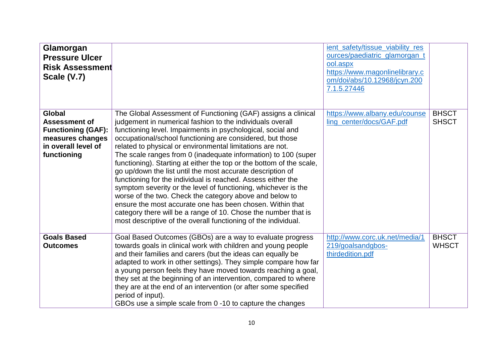| Glamorgan<br><b>Pressure Ulcer</b><br><b>Risk Assessment</b><br>Scale (V.7)                                                  |                                                                                                                                                                                                                                                                                                                                                                                                                                                                                                                                                                                                                                                                                                                                                                                                                                                                                                                           | ient safety/tissue viability res<br>ources/paediatric_glamorgan_t<br>ool.aspx<br>https://www.magonlinelibrary.c<br>om/doi/abs/10.12968/jcyn.200<br>7.1.5.27446 |                              |
|------------------------------------------------------------------------------------------------------------------------------|---------------------------------------------------------------------------------------------------------------------------------------------------------------------------------------------------------------------------------------------------------------------------------------------------------------------------------------------------------------------------------------------------------------------------------------------------------------------------------------------------------------------------------------------------------------------------------------------------------------------------------------------------------------------------------------------------------------------------------------------------------------------------------------------------------------------------------------------------------------------------------------------------------------------------|----------------------------------------------------------------------------------------------------------------------------------------------------------------|------------------------------|
| <b>Global</b><br><b>Assessment of</b><br><b>Functioning (GAF):</b><br>measures changes<br>in overall level of<br>functioning | The Global Assessment of Functioning (GAF) assigns a clinical<br>judgement in numerical fashion to the individuals overall<br>functioning level. Impairments in psychological, social and<br>occupational/school functioning are considered, but those<br>related to physical or environmental limitations are not.<br>The scale ranges from 0 (inadequate information) to 100 (super<br>functioning). Starting at either the top or the bottom of the scale,<br>go up/down the list until the most accurate description of<br>functioning for the individual is reached. Assess either the<br>symptom severity or the level of functioning, whichever is the<br>worse of the two. Check the category above and below to<br>ensure the most accurate one has been chosen. Within that<br>category there will be a range of 10. Chose the number that is<br>most descriptive of the overall functioning of the individual. | https://www.albany.edu/counse<br>ling_center/docs/GAF.pdf                                                                                                      | <b>BHSCT</b><br><b>SHSCT</b> |
| <b>Goals Based</b><br><b>Outcomes</b>                                                                                        | Goal Based Outcomes (GBOs) are a way to evaluate progress<br>towards goals in clinical work with children and young people<br>and their families and carers (but the ideas can equally be<br>adapted to work in other settings). They simple compare how far<br>a young person feels they have moved towards reaching a goal,<br>they set at the beginning of an intervention, compared to where<br>they are at the end of an intervention (or after some specified<br>period of input).<br>GBOs use a simple scale from 0 -10 to capture the changes                                                                                                                                                                                                                                                                                                                                                                     | http://www.corc.uk.net/media/1<br>219/goalsandgbos-<br>thirdedition.pdf                                                                                        | <b>BHSCT</b><br><b>WHSCT</b> |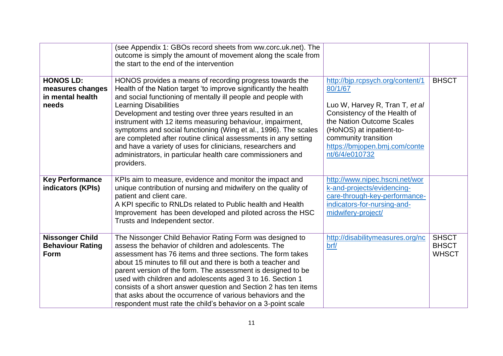|                                                                   | (see Appendix 1: GBOs record sheets from ww.corc.uk.net). The<br>outcome is simply the amount of movement along the scale from<br>the start to the end of the intervention                                                                                                                                                                                                                                                                                                                                                                                                                                                             |                                                                                                                                                                                                                                                   |                                              |
|-------------------------------------------------------------------|----------------------------------------------------------------------------------------------------------------------------------------------------------------------------------------------------------------------------------------------------------------------------------------------------------------------------------------------------------------------------------------------------------------------------------------------------------------------------------------------------------------------------------------------------------------------------------------------------------------------------------------|---------------------------------------------------------------------------------------------------------------------------------------------------------------------------------------------------------------------------------------------------|----------------------------------------------|
| <b>HONOS LD:</b><br>measures changes<br>in mental health<br>needs | HONOS provides a means of recording progress towards the<br>Health of the Nation target 'to improve significantly the health<br>and social functioning of mentally ill people and people with<br><b>Learning Disabilities</b><br>Development and testing over three years resulted in an<br>instrument with 12 items measuring behaviour, impairment,<br>symptoms and social functioning (Wing et al., 1996). The scales<br>are completed after routine clinical assessments in any setting<br>and have a variety of uses for clinicians, researchers and<br>administrators, in particular health care commissioners and<br>providers. | http://bjp.rcpsych.org/content/1<br>80/1/67<br>Luo W, Harvey R, Tran T, et al<br>Consistency of the Health of<br>the Nation Outcome Scales<br>(HoNOS) at inpatient-to-<br>community transition<br>https://bmjopen.bmj.com/conte<br>nt/6/4/e010732 | <b>BHSCT</b>                                 |
| <b>Key Performance</b><br>indicators (KPIs)                       | KPIs aim to measure, evidence and monitor the impact and<br>unique contribution of nursing and midwifery on the quality of<br>patient and client care.<br>A KPI specific to RNLDs related to Public health and Health<br>Improvement has been developed and piloted across the HSC<br>Trusts and Independent sector.                                                                                                                                                                                                                                                                                                                   | http://www.nipec.hscni.net/wor<br>k-and-projects/evidencing-<br>care-through-key-performance-<br>indicators-for-nursing-and-<br>midwifery-project/                                                                                                |                                              |
| <b>Nissonger Child</b><br><b>Behaviour Rating</b><br>Form         | The Nissonger Child Behavior Rating Form was designed to<br>assess the behavior of children and adolescents. The<br>assessment has 76 items and three sections. The form takes<br>about 15 minutes to fill out and there is both a teacher and<br>parent version of the form. The assessment is designed to be<br>used with children and adolescents aged 3 to 16. Section 1<br>consists of a short answer question and Section 2 has ten items<br>that asks about the occurrence of various behaviors and the<br>respondent must rate the child's behavior on a 3-point scale                                                         | http://disabilitymeasures.org/nc<br>brf/                                                                                                                                                                                                          | <b>SHSCT</b><br><b>BHSCT</b><br><b>WHSCT</b> |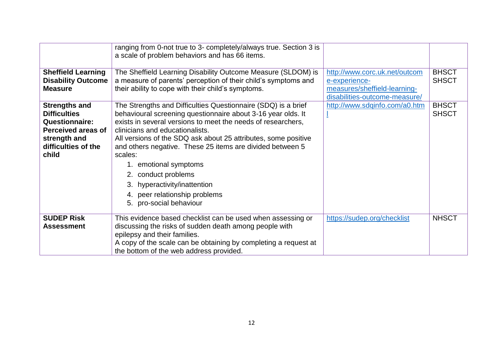|                                                                                                                                            | ranging from 0-not true to 3- completely/always true. Section 3 is<br>a scale of problem behaviors and has 66 items.                                                                                                                                                                                                                                                                                                                                                                                                   |                                                                                                                 |                              |
|--------------------------------------------------------------------------------------------------------------------------------------------|------------------------------------------------------------------------------------------------------------------------------------------------------------------------------------------------------------------------------------------------------------------------------------------------------------------------------------------------------------------------------------------------------------------------------------------------------------------------------------------------------------------------|-----------------------------------------------------------------------------------------------------------------|------------------------------|
| <b>Sheffield Learning</b><br><b>Disability Outcome</b><br><b>Measure</b>                                                                   | The Sheffield Learning Disability Outcome Measure (SLDOM) is<br>a measure of parents' perception of their child's symptoms and<br>their ability to cope with their child's symptoms.                                                                                                                                                                                                                                                                                                                                   | http://www.corc.uk.net/outcom<br>e-experience-<br>measures/sheffield-learning-<br>disabilities-outcome-measure/ | <b>BHSCT</b><br><b>SHSCT</b> |
| <b>Strengths and</b><br><b>Difficulties</b><br><b>Questionnaire:</b><br>Perceived areas of<br>strength and<br>difficulties of the<br>child | The Strengths and Difficulties Questionnaire (SDQ) is a brief<br>behavioural screening questionnaire about 3-16 year olds. It<br>exists in several versions to meet the needs of researchers,<br>clinicians and educationalists.<br>All versions of the SDQ ask about 25 attributes, some positive<br>and others negative. These 25 items are divided between 5<br>scales:<br>1. emotional symptoms<br>2. conduct problems<br>3. hyperactivity/inattention<br>4. peer relationship problems<br>5. pro-social behaviour | http://www.sdqinfo.com/a0.htm                                                                                   | <b>BHSCT</b><br><b>SHSCT</b> |
| <b>SUDEP Risk</b><br><b>Assessment</b>                                                                                                     | This evidence based checklist can be used when assessing or<br>discussing the risks of sudden death among people with<br>epilepsy and their families.<br>A copy of the scale can be obtaining by completing a request at<br>the bottom of the web address provided.                                                                                                                                                                                                                                                    | https://sudep.org/checklist                                                                                     | <b>NHSCT</b>                 |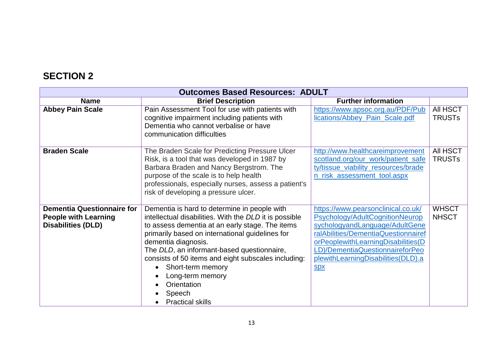## **SECTION 2**

| <b>Outcomes Based Resources: ADULT</b>                                                        |                                                                                                                                                                                                                                                                                                                                                                                                                                                    |                                                                                                                                                                                                                                                                             |                              |
|-----------------------------------------------------------------------------------------------|----------------------------------------------------------------------------------------------------------------------------------------------------------------------------------------------------------------------------------------------------------------------------------------------------------------------------------------------------------------------------------------------------------------------------------------------------|-----------------------------------------------------------------------------------------------------------------------------------------------------------------------------------------------------------------------------------------------------------------------------|------------------------------|
| <b>Name</b>                                                                                   | <b>Brief Description</b>                                                                                                                                                                                                                                                                                                                                                                                                                           | <b>Further information</b>                                                                                                                                                                                                                                                  |                              |
| <b>Abbey Pain Scale</b>                                                                       | Pain Assessment Tool for use with patients with<br>cognitive impairment including patients with<br>Dementia who cannot verbalise or have<br>communication difficulties                                                                                                                                                                                                                                                                             | https://www.apsoc.org.au/PDF/Pub<br>lications/Abbey_Pain_Scale.pdf                                                                                                                                                                                                          | All HSCT<br><b>TRUSTS</b>    |
| <b>Braden Scale</b>                                                                           | The Braden Scale for Predicting Pressure Ulcer<br>Risk, is a tool that was developed in 1987 by<br>Barbara Braden and Nancy Bergstrom. The<br>purpose of the scale is to help health<br>professionals, especially nurses, assess a patient's<br>risk of developing a pressure ulcer.                                                                                                                                                               | http://www.healthcareimprovement<br>scotland.org/our_work/patient_safe<br>ty/tissue_viability_resources/brade<br>n_risk_assessment_tool.aspx                                                                                                                                | All HSCT<br><b>TRUSTS</b>    |
| <b>Dementia Questionnaire for</b><br><b>People with Learning</b><br><b>Disabilities (DLD)</b> | Dementia is hard to determine in people with<br>intellectual disabilities. With the DLD it is possible<br>to assess dementia at an early stage. The items<br>primarily based on international guidelines for<br>dementia diagnosis.<br>The DLD, an informant-based questionnaire,<br>consists of 50 items and eight subscales including:<br>Short-term memory<br>$\bullet$<br>Long-term memory<br>Orientation<br>Speech<br><b>Practical skills</b> | https://www.pearsonclinical.co.uk/<br>Psychology/AdultCognitionNeurop<br>sychologyandLanguage/AdultGene<br>ralAbilities/DementiaQuestionnairef<br>orPeoplewithLearningDisabilities(D<br>LD)/DementiaQuestionnaireforPeo<br>plewithLearningDisabilities(DLD).a<br><b>SDX</b> | <b>WHSCT</b><br><b>NHSCT</b> |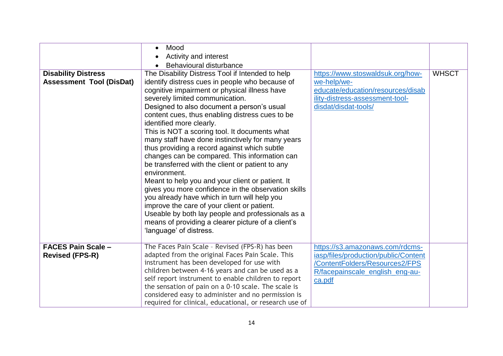|                                                               | Mood<br>$\bullet$<br>Activity and interest<br>Behavioural disturbance<br>$\bullet$                                                                                                                                                                                                                                                                                                                                                                                                                                                                                                                                                                                                                                                                                                                                                                                                                                                              |                                                                                                                                                        |              |
|---------------------------------------------------------------|-------------------------------------------------------------------------------------------------------------------------------------------------------------------------------------------------------------------------------------------------------------------------------------------------------------------------------------------------------------------------------------------------------------------------------------------------------------------------------------------------------------------------------------------------------------------------------------------------------------------------------------------------------------------------------------------------------------------------------------------------------------------------------------------------------------------------------------------------------------------------------------------------------------------------------------------------|--------------------------------------------------------------------------------------------------------------------------------------------------------|--------------|
| <b>Disability Distress</b><br><b>Assessment Tool (DisDat)</b> | The Disability Distress Tool if Intended to help<br>identify distress cues in people who because of<br>cognitive impairment or physical illness have<br>severely limited communication.<br>Designed to also document a person's usual<br>content cues, thus enabling distress cues to be<br>identified more clearly.<br>This is NOT a scoring tool. It documents what<br>many staff have done instinctively for many years<br>thus providing a record against which subtle<br>changes can be compared. This information can<br>be transferred with the client or patient to any<br>environment.<br>Meant to help you and your client or patient. It<br>gives you more confidence in the observation skills<br>you already have which in turn will help you<br>improve the care of your client or patient.<br>Useable by both lay people and professionals as a<br>means of providing a clearer picture of a client's<br>'language' of distress. | https://www.stoswaldsuk.org/how-<br>we-help/we-<br>educate/education/resources/disab<br>ility-distress-assessment-tool-<br>disdat/disdat-tools/        | <b>WHSCT</b> |
| <b>FACES Pain Scale -</b><br><b>Revised (FPS-R)</b>           | The Faces Pain Scale - Revised (FPS-R) has been<br>adapted from the original Faces Pain Scale. This<br>instrument has been developed for use with<br>children between 4-16 years and can be used as a<br>self report instrument to enable children to report<br>the sensation of pain on a 0-10 scale. The scale is<br>considered easy to administer and no permission is<br>required for clinical, educational, or research use of                                                                                                                                                                                                                                                                                                                                                                                                                                                                                                             | https://s3.amazonaws.com/rdcms-<br>iasp/files/production/public/Content<br>/ContentFolders/Resources2/FPS<br>R/facepainscale_english_eng-au-<br>ca.pdf |              |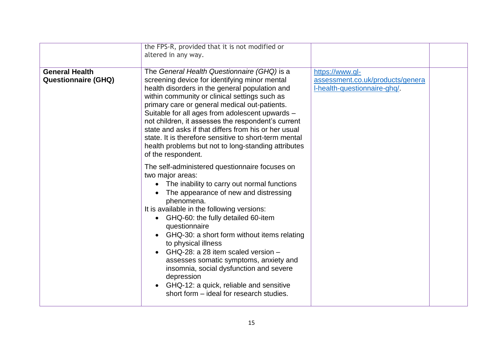|                                                     | the FPS-R, provided that it is not modified or<br>altered in any way.                                                                                                                                                                                                                                                                                                                                                                                                                                                                                                                                         |                                                                                     |  |
|-----------------------------------------------------|---------------------------------------------------------------------------------------------------------------------------------------------------------------------------------------------------------------------------------------------------------------------------------------------------------------------------------------------------------------------------------------------------------------------------------------------------------------------------------------------------------------------------------------------------------------------------------------------------------------|-------------------------------------------------------------------------------------|--|
| <b>General Health</b><br><b>Questionnaire (GHQ)</b> | The General Health Questionnaire (GHQ) is a<br>screening device for identifying minor mental<br>health disorders in the general population and<br>within community or clinical settings such as<br>primary care or general medical out-patients.<br>Suitable for all ages from adolescent upwards -<br>not children, it assesses the respondent's current<br>state and asks if that differs from his or her usual<br>state. It is therefore sensitive to short-term mental<br>health problems but not to long-standing attributes<br>of the respondent.                                                       | https://www.gl-<br>assessment.co.uk/products/genera<br>I-health-questionnaire-ghq/. |  |
|                                                     | The self-administered questionnaire focuses on<br>two major areas:<br>The inability to carry out normal functions<br>$\bullet$<br>The appearance of new and distressing<br>phenomena.<br>It is available in the following versions:<br>GHQ-60: the fully detailed 60-item<br>questionnaire<br>GHQ-30: a short form without items relating<br>to physical illness<br>GHQ-28: a 28 item scaled version -<br>$\bullet$<br>assesses somatic symptoms, anxiety and<br>insomnia, social dysfunction and severe<br>depression<br>GHQ-12: a quick, reliable and sensitive<br>short form - ideal for research studies. |                                                                                     |  |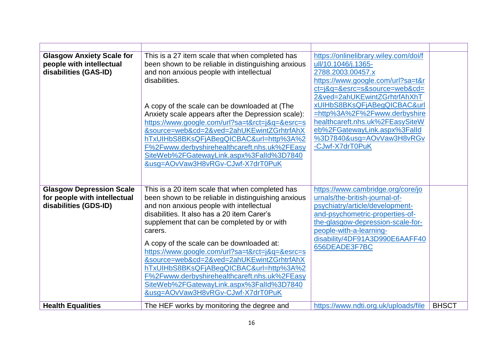| <b>Glasgow Anxiety Scale for</b><br>people with intellectual<br>disabilities (GAS-ID)    | This is a 27 item scale that when completed has<br>been shown to be reliable in distinguishing anxious<br>and non anxious people with intellectual<br>disabilities.<br>A copy of the scale can be downloaded at (The<br>Anxiety scale appears after the Depression scale):<br>https://www.google.com/url?sa=t&rct=j&q=&esrc=s<br>&source=web&cd=2&ved=2ahUKEwintZGrhtrfAhX<br>hTxUIHbS8BKsQFjABegQICBAC&url=http%3A%2<br>F%2Fwww.derbyshirehealthcareft.nhs.uk%2FEasy<br>SiteWeb%2FGatewayLink.aspx%3Falld%3D7840<br>&usq=AOvVaw3H8vRGv-CJwf-X7drT0PuK                               | https://onlinelibrary.wiley.com/doi/f<br>ull/10.1046/j.1365-<br>2788.2003.00457.x<br>https://www.google.com/url?sa=t&r<br>ct=j&q=&esrc=s&source=web&cd=<br>2&ved=2ahUKEwintZGrhtrfAhXhT<br>xUIHbS8BKsQFjABeqQICBAC&url<br>=http%3A%2F%2Fwww.derbyshire<br>healthcareft.nhs.uk%2FEasySiteW<br>eb%2FGatewayLink.aspx%3Falld<br>%3D7840&usg=AOvVaw3H8vRGv<br>-CJwf-X7drT0PuK |              |
|------------------------------------------------------------------------------------------|--------------------------------------------------------------------------------------------------------------------------------------------------------------------------------------------------------------------------------------------------------------------------------------------------------------------------------------------------------------------------------------------------------------------------------------------------------------------------------------------------------------------------------------------------------------------------------------|---------------------------------------------------------------------------------------------------------------------------------------------------------------------------------------------------------------------------------------------------------------------------------------------------------------------------------------------------------------------------|--------------|
| <b>Glasgow Depression Scale</b><br>for people with intellectual<br>disabilities (GDS-ID) | This is a 20 item scale that when completed has<br>been shown to be reliable in distinguishing anxious<br>and non anxious people with intellectual<br>disabilities. It also has a 20 item Carer's<br>supplement that can be completed by or with<br>carers.<br>A copy of the scale can be downloaded at:<br>https://www.google.com/url?sa=t&rct=j&q=&esrc=s<br>&source=web&cd=2&ved=2ahUKEwintZGrhtrfAhX<br>hTxUIHbS8BKsQFjABegQICBAC&url=http%3A%2<br>F%2Fwww.derbyshirehealthcareft.nhs.uk%2FEasy<br>SiteWeb%2FGatewayLink.aspx%3Falld%3D7840<br>&usg=AOvVaw3H8vRGv-CJwf-X7drT0PuK | https://www.cambridge.org/core/jo<br>urnals/the-british-journal-of-<br>psychiatry/article/development-<br>and-psychometric-properties-of-<br>the-glasgow-depression-scale-for-<br>people-with-a-learning-<br>disability/4DF91A3D990E6AAFF40<br>656DEADE3F7BC                                                                                                              |              |
| <b>Health Equalities</b>                                                                 | The HEF works by monitoring the degree and                                                                                                                                                                                                                                                                                                                                                                                                                                                                                                                                           | https://www.ndti.org.uk/uploads/file                                                                                                                                                                                                                                                                                                                                      | <b>BHSCT</b> |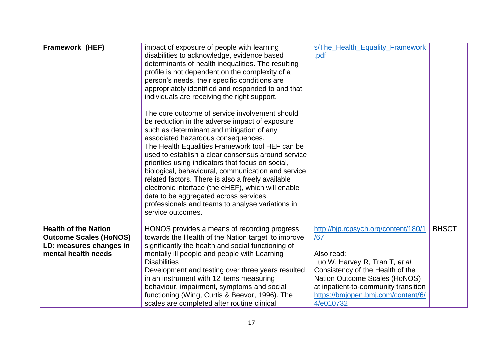| Framework (HEF)                                                                                                | impact of exposure of people with learning<br>disabilities to acknowledge, evidence based<br>determinants of health inequalities. The resulting<br>profile is not dependent on the complexity of a<br>person's needs, their specific conditions are<br>appropriately identified and responded to and that<br>individuals are receiving the right support.<br>The core outcome of service involvement should<br>be reduction in the adverse impact of exposure<br>such as determinant and mitigation of any<br>associated hazardous consequences.<br>The Health Equalities Framework tool HEF can be<br>used to establish a clear consensus around service<br>priorities using indicators that focus on social,<br>biological, behavioural, communication and service<br>related factors. There is also a freely available<br>electronic interface (the eHEF), which will enable<br>data to be aggregated across services,<br>professionals and teams to analyse variations in<br>service outcomes. | s/The_Health_Equality_Framework<br>.pdf                                                                                                                                                                                                                     |              |
|----------------------------------------------------------------------------------------------------------------|----------------------------------------------------------------------------------------------------------------------------------------------------------------------------------------------------------------------------------------------------------------------------------------------------------------------------------------------------------------------------------------------------------------------------------------------------------------------------------------------------------------------------------------------------------------------------------------------------------------------------------------------------------------------------------------------------------------------------------------------------------------------------------------------------------------------------------------------------------------------------------------------------------------------------------------------------------------------------------------------------|-------------------------------------------------------------------------------------------------------------------------------------------------------------------------------------------------------------------------------------------------------------|--------------|
| <b>Health of the Nation</b><br><b>Outcome Scales (HoNOS)</b><br>LD: measures changes in<br>mental health needs | HONOS provides a means of recording progress<br>towards the Health of the Nation target 'to improve<br>significantly the health and social functioning of<br>mentally ill people and people with Learning<br><b>Disabilities</b><br>Development and testing over three years resulted<br>in an instrument with 12 items measuring<br>behaviour, impairment, symptoms and social<br>functioning (Wing, Curtis & Beevor, 1996). The<br>scales are completed after routine clinical                                                                                                                                                                                                                                                                                                                                                                                                                                                                                                                   | http://bjp.rcpsych.org/content/180/1<br>/67<br>Also read:<br>Luo W, Harvey R, Tran T, et al<br>Consistency of the Health of the<br>Nation Outcome Scales (HoNOS)<br>at inpatient-to-community transition<br>https://bmjopen.bmj.com/content/6/<br>4/e010732 | <b>BHSCT</b> |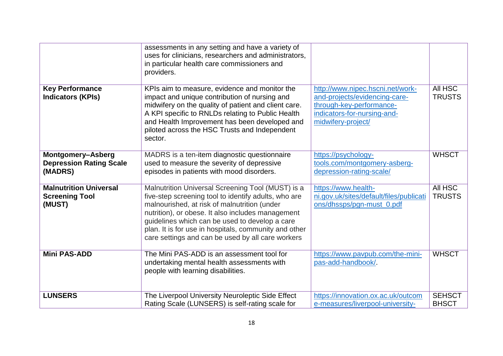|                                                                  | assessments in any setting and have a variety of<br>uses for clinicians, researchers and administrators,<br>in particular health care commissioners and<br>providers.                                                                                                                                                                                                          |                                                                                                                                                    |                                 |
|------------------------------------------------------------------|--------------------------------------------------------------------------------------------------------------------------------------------------------------------------------------------------------------------------------------------------------------------------------------------------------------------------------------------------------------------------------|----------------------------------------------------------------------------------------------------------------------------------------------------|---------------------------------|
| <b>Key Performance</b><br><b>Indicators (KPIs)</b>               | KPIs aim to measure, evidence and monitor the<br>impact and unique contribution of nursing and<br>midwifery on the quality of patient and client care.<br>A KPI specific to RNLDs relating to Public Health<br>and Health Improvement has been developed and<br>piloted across the HSC Trusts and Independent<br>sector.                                                       | http://www.nipec.hscni.net/work-<br>and-projects/evidencing-care-<br>through-key-performance-<br>indicators-for-nursing-and-<br>midwifery-project/ | All HSC<br><b>TRUSTS</b>        |
| Montgomery-Asberg<br><b>Depression Rating Scale</b><br>(MADRS)   | MADRS is a ten-item diagnostic questionnaire<br>used to measure the severity of depressive<br>episodes in patients with mood disorders.                                                                                                                                                                                                                                        | https://psychology-<br>tools.com/montgomery-asberg-<br>depression-rating-scale/                                                                    | <b>WHSCT</b>                    |
| <b>Malnutrition Universal</b><br><b>Screening Tool</b><br>(MUST) | Malnutrition Universal Screening Tool (MUST) is a<br>five-step screening tool to identify adults, who are<br>malnourished, at risk of malnutrition (under<br>nutrition), or obese. It also includes management<br>guidelines which can be used to develop a care<br>plan. It is for use in hospitals, community and other<br>care settings and can be used by all care workers | https://www.health-<br>ni.gov.uk/sites/default/files/publicati<br>ons/dhssps/pgn-must_0.pdf                                                        | <b>All HSC</b><br><b>TRUSTS</b> |
| <b>Mini PAS-ADD</b>                                              | The Mini PAS-ADD is an assessment tool for<br>undertaking mental health assessments with<br>people with learning disabilities.                                                                                                                                                                                                                                                 | https://www.pavpub.com/the-mini-<br>pas-add-handbook/.                                                                                             | <b>WHSCT</b>                    |
| <b>LUNSERS</b>                                                   | The Liverpool University Neuroleptic Side Effect<br>Rating Scale (LUNSERS) is self-rating scale for                                                                                                                                                                                                                                                                            | https://innovation.ox.ac.uk/outcom<br>e-measures/liverpool-university-                                                                             | <b>SEHSCT</b><br><b>BHSCT</b>   |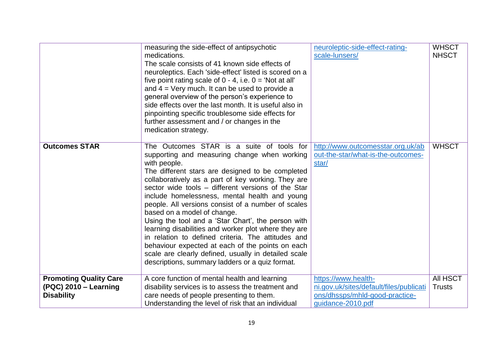|                                                                             | measuring the side-effect of antipsychotic<br>medications.<br>The scale consists of 41 known side effects of<br>neuroleptics. Each 'side-effect' listed is scored on a<br>five point rating scale of $0 - 4$ , i.e. $0 =$ 'Not at all'<br>and $4 =$ Very much. It can be used to provide a<br>general overview of the person's experience to<br>side effects over the last month. It is useful also in<br>pinpointing specific troublesome side effects for<br>further assessment and / or changes in the<br>medication strategy.                                                                                                                                                                                                                  | neuroleptic-side-effect-rating-<br>scale-lunsers/                                                | <b>WHSCT</b><br><b>NHSCT</b> |
|-----------------------------------------------------------------------------|----------------------------------------------------------------------------------------------------------------------------------------------------------------------------------------------------------------------------------------------------------------------------------------------------------------------------------------------------------------------------------------------------------------------------------------------------------------------------------------------------------------------------------------------------------------------------------------------------------------------------------------------------------------------------------------------------------------------------------------------------|--------------------------------------------------------------------------------------------------|------------------------------|
| <b>Outcomes STAR</b>                                                        | The Outcomes STAR is a suite of tools for<br>supporting and measuring change when working<br>with people.<br>The different stars are designed to be completed<br>collaboratively as a part of key working. They are<br>sector wide tools – different versions of the Star<br>include homelessness, mental health and young<br>people. All versions consist of a number of scales<br>based on a model of change.<br>Using the tool and a 'Star Chart', the person with<br>learning disabilities and worker plot where they are<br>in relation to defined criteria. The attitudes and<br>behaviour expected at each of the points on each<br>scale are clearly defined, usually in detailed scale<br>descriptions, summary ladders or a quiz format. | http://www.outcomesstar.org.uk/ab<br>out-the-star/what-is-the-outcomes-<br>star/                 | <b>WHSCT</b>                 |
| <b>Promoting Quality Care</b><br>(PQC) 2010 - Learning<br><b>Disability</b> | A core function of mental health and learning<br>disability services is to assess the treatment and                                                                                                                                                                                                                                                                                                                                                                                                                                                                                                                                                                                                                                                | https://www.health-<br>ni.gov.uk/sites/default/files/publicati<br>ons/dhssps/mhld-good-practice- | All HSCT<br><b>Trusts</b>    |
|                                                                             | care needs of people presenting to them.<br>Understanding the level of risk that an individual                                                                                                                                                                                                                                                                                                                                                                                                                                                                                                                                                                                                                                                     | quidance-2010.pdf                                                                                |                              |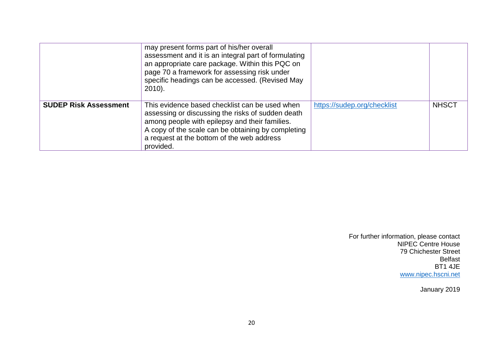|                              | may present forms part of his/her overall<br>assessment and it is an integral part of formulating<br>an appropriate care package. Within this PQC on<br>page 70 a framework for assessing risk under<br>specific headings can be accessed. (Revised May<br>$2010$ ).   |                             |              |
|------------------------------|------------------------------------------------------------------------------------------------------------------------------------------------------------------------------------------------------------------------------------------------------------------------|-----------------------------|--------------|
| <b>SUDEP Risk Assessment</b> | This evidence based checklist can be used when<br>assessing or discussing the risks of sudden death<br>among people with epilepsy and their families.<br>A copy of the scale can be obtaining by completing<br>a request at the bottom of the web address<br>provided. | https://sudep.org/checklist | <b>NHSCT</b> |

For further information, please contact NIPEC Centre House 79 Chichester Street Belfast BT1 4JE [www.nipec.hscni.net](http://www.nipec.hscni.net/)

January 2019